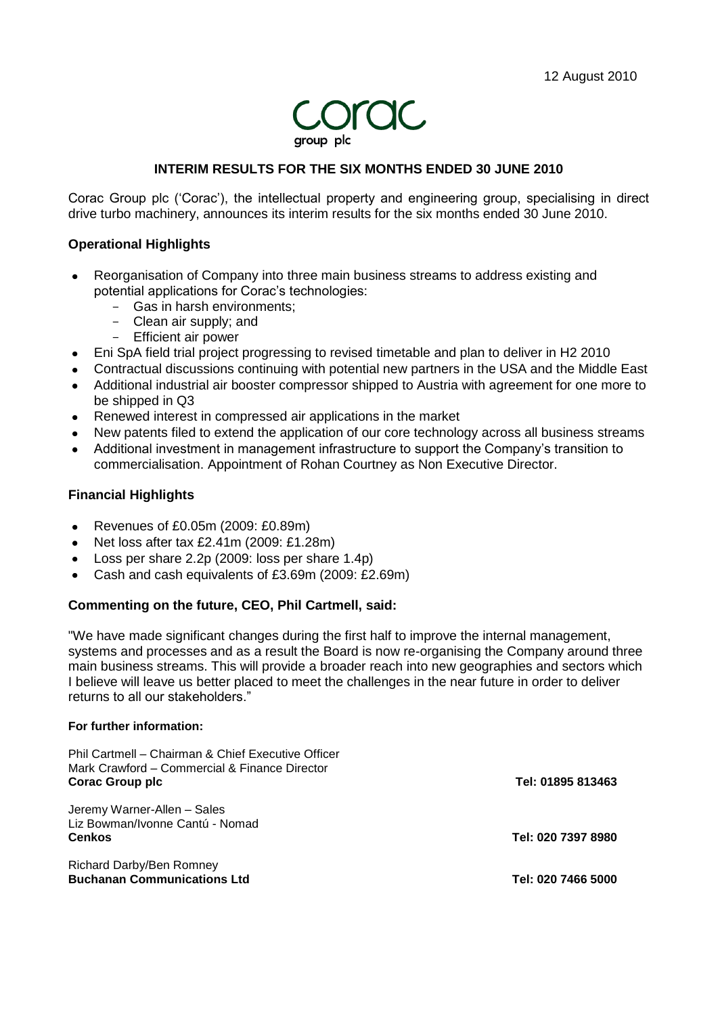

# **INTERIM RESULTS FOR THE SIX MONTHS ENDED 30 JUNE 2010**

Corac Group plc ("Corac"), the intellectual property and engineering group, specialising in direct drive turbo machinery, announces its interim results for the six months ended 30 June 2010.

### **Operational Highlights**

- Reorganisation of Company into three main business streams to address existing and  $\bullet$ potential applications for Corac"s technologies:
	- Gas in harsh environments;
	- Clean air supply; and
	- Efficient air power
- Eni SpA field trial project progressing to revised timetable and plan to deliver in H2 2010
- Contractual discussions continuing with potential new partners in the USA and the Middle East
- Additional industrial air booster compressor shipped to Austria with agreement for one more to be shipped in Q3
- Renewed interest in compressed air applications in the market
- New patents filed to extend the application of our core technology across all business streams
- Additional investment in management infrastructure to support the Company"s transition to commercialisation. Appointment of Rohan Courtney as Non Executive Director.

#### **Financial Highlights**

- Revenues of £0.05m (2009: £0.89m)  $\bullet$  .
- Net loss after tax £2.41m (2009: £1.28m)
- Loss per share 2.2p (2009: loss per share 1.4p)
- Cash and cash equivalents of £3.69m (2009: £2.69m)  $\bullet$

### **Commenting on the future, CEO, Phil Cartmell, said:**

"We have made significant changes during the first half to improve the internal management, systems and processes and as a result the Board is now re-organising the Company around three main business streams. This will provide a broader reach into new geographies and sectors which I believe will leave us better placed to meet the challenges in the near future in order to deliver returns to all our stakeholders."

#### **For further information:**

| Phil Cartmell – Chairman & Chief Executive Officer<br>Mark Crawford - Commercial & Finance Director<br><b>Corac Group plc</b> | Tel: 01895 813463  |
|-------------------------------------------------------------------------------------------------------------------------------|--------------------|
| Jeremy Warner-Allen - Sales<br>Liz Bowman/Ivonne Cantú - Nomad<br><b>Cenkos</b>                                               | Tel: 020 7397 8980 |
| Richard Darby/Ben Romney<br><b>Buchanan Communications Ltd</b>                                                                | Tel: 020 7466 5000 |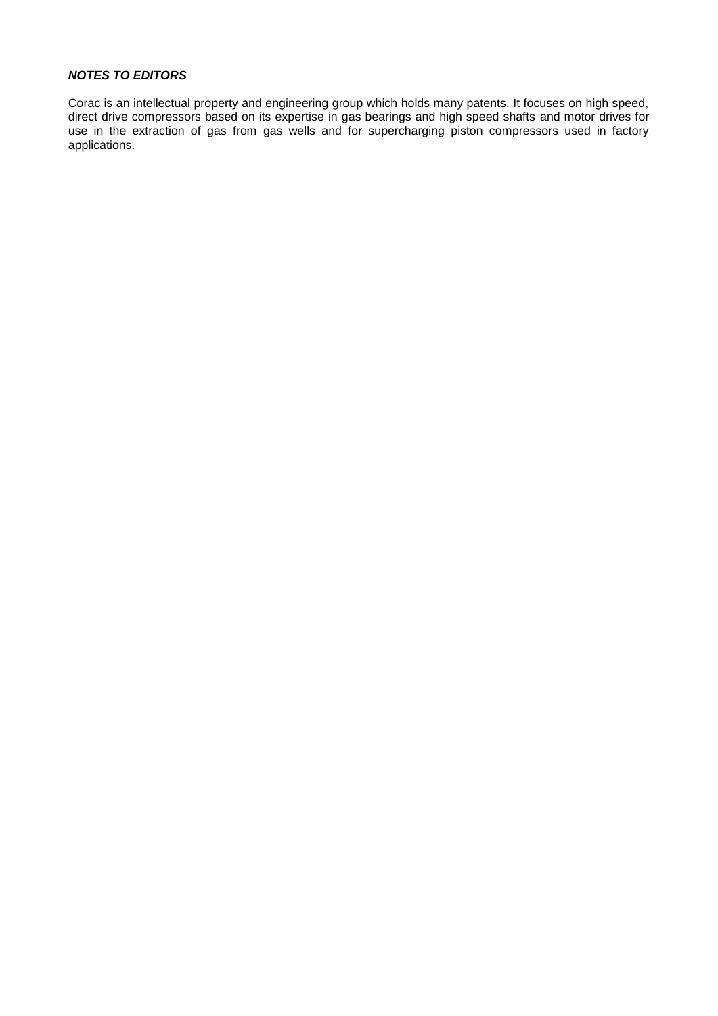### *NOTES TO EDITORS*

Corac is an intellectual property and engineering group which holds many patents. It focuses on high speed, direct drive compressors based on its expertise in gas bearings and high speed shafts and motor drives for use in the extraction of gas from gas wells and for supercharging piston compressors used in factory applications.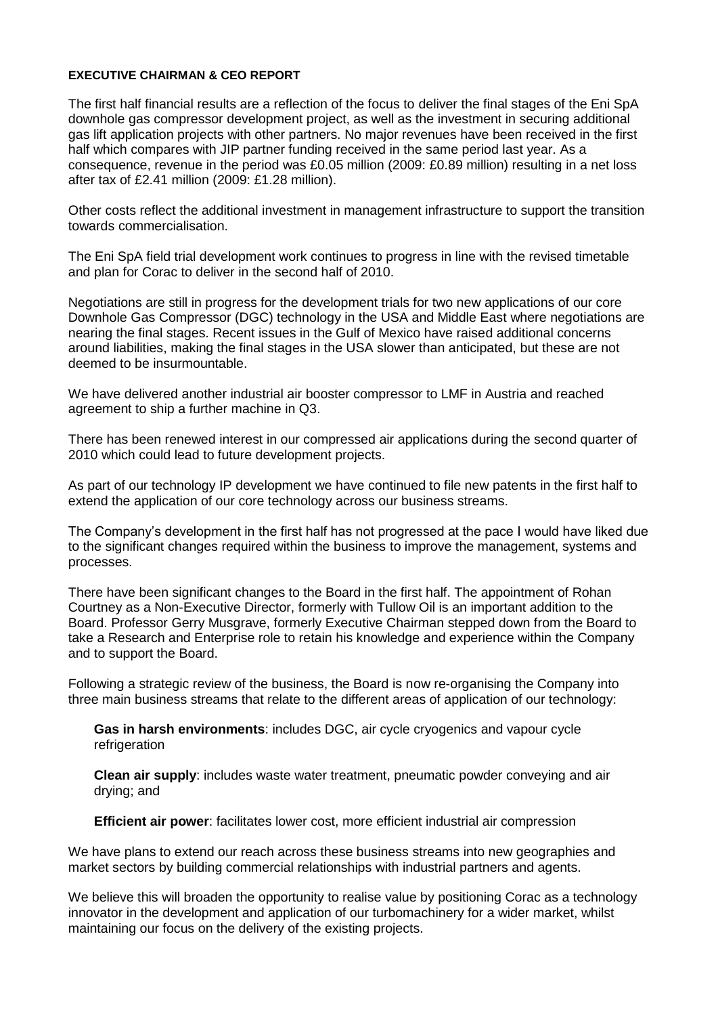### **EXECUTIVE CHAIRMAN & CEO REPORT**

The first half financial results are a reflection of the focus to deliver the final stages of the Eni SpA downhole gas compressor development project, as well as the investment in securing additional gas lift application projects with other partners. No major revenues have been received in the first half which compares with JIP partner funding received in the same period last year. As a consequence, revenue in the period was £0.05 million (2009: £0.89 million) resulting in a net loss after tax of £2.41 million (2009: £1.28 million).

Other costs reflect the additional investment in management infrastructure to support the transition towards commercialisation.

The Eni SpA field trial development work continues to progress in line with the revised timetable and plan for Corac to deliver in the second half of 2010.

Negotiations are still in progress for the development trials for two new applications of our core Downhole Gas Compressor (DGC) technology in the USA and Middle East where negotiations are nearing the final stages. Recent issues in the Gulf of Mexico have raised additional concerns around liabilities, making the final stages in the USA slower than anticipated, but these are not deemed to be insurmountable.

We have delivered another industrial air booster compressor to LMF in Austria and reached agreement to ship a further machine in Q3.

There has been renewed interest in our compressed air applications during the second quarter of 2010 which could lead to future development projects.

As part of our technology IP development we have continued to file new patents in the first half to extend the application of our core technology across our business streams.

The Company"s development in the first half has not progressed at the pace I would have liked due to the significant changes required within the business to improve the management, systems and processes.

There have been significant changes to the Board in the first half. The appointment of Rohan Courtney as a Non-Executive Director, formerly with Tullow Oil is an important addition to the Board. Professor Gerry Musgrave, formerly Executive Chairman stepped down from the Board to take a Research and Enterprise role to retain his knowledge and experience within the Company and to support the Board.

Following a strategic review of the business, the Board is now re-organising the Company into three main business streams that relate to the different areas of application of our technology:

**Gas in harsh environments**: includes DGC, air cycle cryogenics and vapour cycle refrigeration

**Clean air supply**: includes waste water treatment, pneumatic powder conveying and air drying; and

**Efficient air power**: facilitates lower cost, more efficient industrial air compression

We have plans to extend our reach across these business streams into new geographies and market sectors by building commercial relationships with industrial partners and agents.

We believe this will broaden the opportunity to realise value by positioning Corac as a technology innovator in the development and application of our turbomachinery for a wider market, whilst maintaining our focus on the delivery of the existing projects.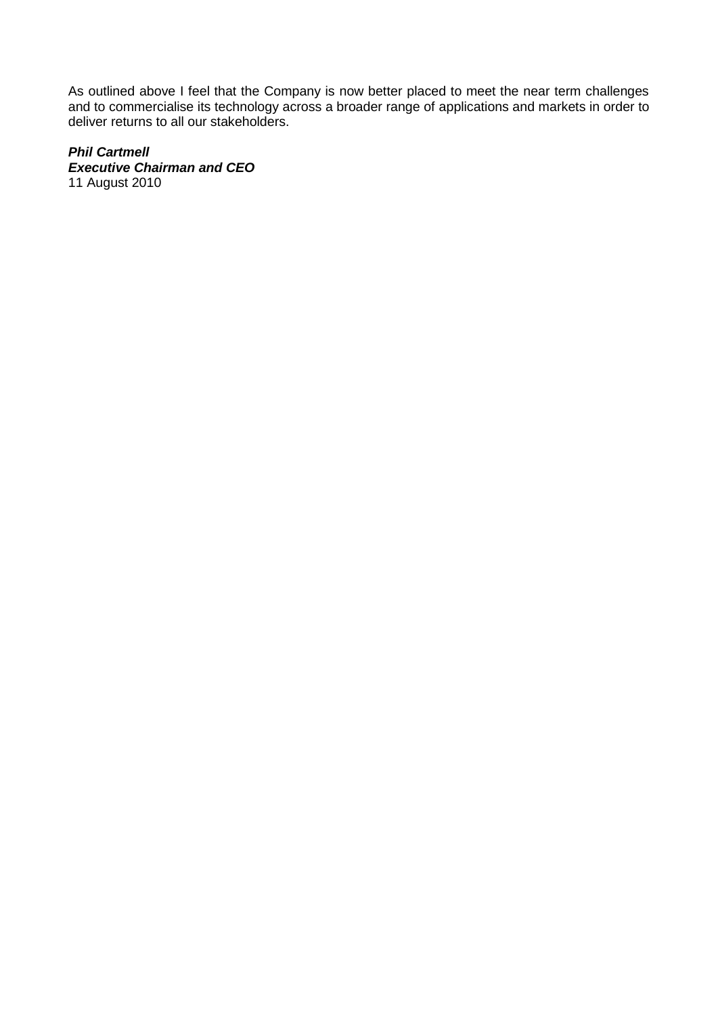As outlined above I feel that the Company is now better placed to meet the near term challenges and to commercialise its technology across a broader range of applications and markets in order to deliver returns to all our stakeholders.

# *Phil Cartmell*

*Executive Chairman and CEO* 11 August 2010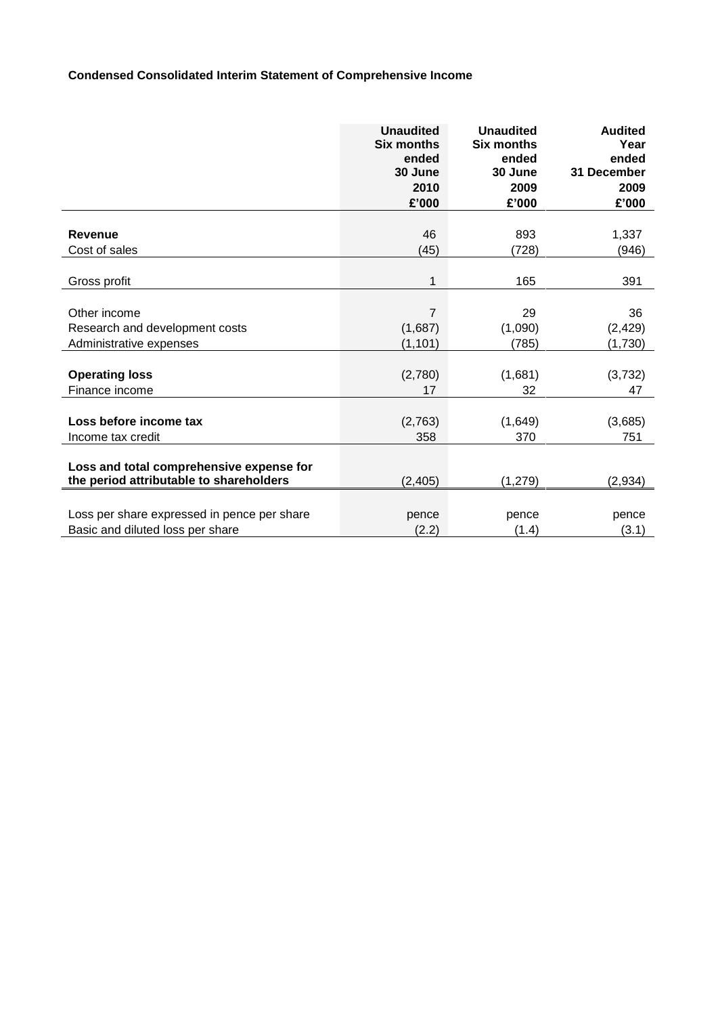# **Condensed Consolidated Interim Statement of Comprehensive Income**

|                                             | <b>Unaudited</b><br><b>Six months</b><br>ended<br>30 June<br>2010<br>£'000 | <b>Unaudited</b><br><b>Six months</b><br>ended<br>30 June<br>2009<br>£'000 | <b>Audited</b><br>Year<br>ended<br>31 December<br>2009<br>£'000 |
|---------------------------------------------|----------------------------------------------------------------------------|----------------------------------------------------------------------------|-----------------------------------------------------------------|
| <b>Revenue</b>                              | 46                                                                         | 893                                                                        | 1,337                                                           |
| Cost of sales                               | (45)                                                                       | (728)                                                                      | (946)                                                           |
|                                             |                                                                            |                                                                            |                                                                 |
| Gross profit                                | 1                                                                          | 165                                                                        | 391                                                             |
|                                             |                                                                            |                                                                            |                                                                 |
| Other income                                | 7                                                                          | 29                                                                         | 36                                                              |
| Research and development costs              | (1,687)                                                                    | (1,090)                                                                    | (2, 429)                                                        |
| Administrative expenses                     | (1, 101)                                                                   | (785)                                                                      | (1,730)                                                         |
|                                             |                                                                            |                                                                            |                                                                 |
| <b>Operating loss</b>                       | (2,780)                                                                    | (1,681)                                                                    | (3, 732)                                                        |
| Finance income                              | 17                                                                         | 32                                                                         | 47                                                              |
|                                             |                                                                            |                                                                            |                                                                 |
| Loss before income tax                      | (2,763)                                                                    | (1,649)                                                                    | (3,685)                                                         |
| Income tax credit                           | 358                                                                        | 370                                                                        | 751                                                             |
| Loss and total comprehensive expense for    |                                                                            |                                                                            |                                                                 |
| the period attributable to shareholders     | (2, 405)                                                                   | (1, 279)                                                                   | (2,934)                                                         |
|                                             |                                                                            |                                                                            |                                                                 |
| Loss per share expressed in pence per share | pence                                                                      | pence                                                                      | pence                                                           |
| Basic and diluted loss per share            | (2.2)                                                                      | (1.4)                                                                      | (3.1)                                                           |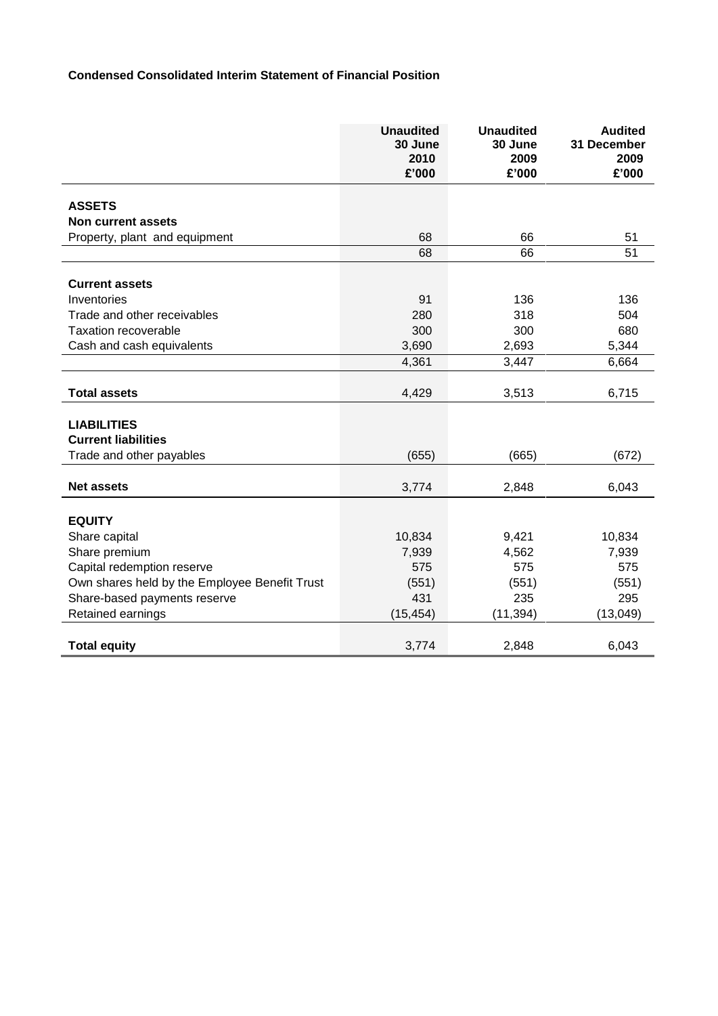# **Condensed Consolidated Interim Statement of Financial Position**

|                                               | <b>Unaudited</b><br>30 June<br>2010<br>£'000 | <b>Unaudited</b><br>30 June<br>2009<br>£'000 | <b>Audited</b><br>31 December<br>2009<br>£'000 |
|-----------------------------------------------|----------------------------------------------|----------------------------------------------|------------------------------------------------|
|                                               |                                              |                                              |                                                |
| <b>ASSETS</b>                                 |                                              |                                              |                                                |
| <b>Non current assets</b>                     |                                              |                                              |                                                |
| Property, plant and equipment                 | 68                                           | 66                                           | 51                                             |
|                                               | 68                                           | 66                                           | 51                                             |
|                                               |                                              |                                              |                                                |
| <b>Current assets</b>                         |                                              |                                              |                                                |
| Inventories                                   | 91                                           | 136                                          | 136                                            |
| Trade and other receivables                   | 280                                          | 318                                          | 504                                            |
| <b>Taxation recoverable</b>                   | 300                                          | 300                                          | 680                                            |
| Cash and cash equivalents                     | 3,690                                        | 2,693                                        | 5,344                                          |
|                                               | 4,361                                        | 3,447                                        | 6,664                                          |
| <b>Total assets</b>                           | 4,429                                        | 3,513                                        | 6,715                                          |
| <b>LIABILITIES</b>                            |                                              |                                              |                                                |
| <b>Current liabilities</b>                    |                                              |                                              |                                                |
|                                               |                                              |                                              |                                                |
| Trade and other payables                      | (655)                                        | (665)                                        | (672)                                          |
| <b>Net assets</b>                             | 3,774                                        | 2,848                                        | 6,043                                          |
|                                               |                                              |                                              |                                                |
| <b>EQUITY</b>                                 |                                              |                                              |                                                |
| Share capital                                 | 10,834                                       | 9,421                                        | 10,834                                         |
| Share premium                                 | 7,939                                        | 4,562                                        | 7,939                                          |
| Capital redemption reserve                    | 575                                          | 575                                          | 575                                            |
| Own shares held by the Employee Benefit Trust | (551)                                        | (551)                                        | (551)                                          |
| Share-based payments reserve                  | 431                                          | 235                                          | 295                                            |
| Retained earnings                             | (15, 454)                                    | (11, 394)                                    | (13,049)                                       |
| <b>Total equity</b>                           | 3,774                                        | 2,848                                        | 6,043                                          |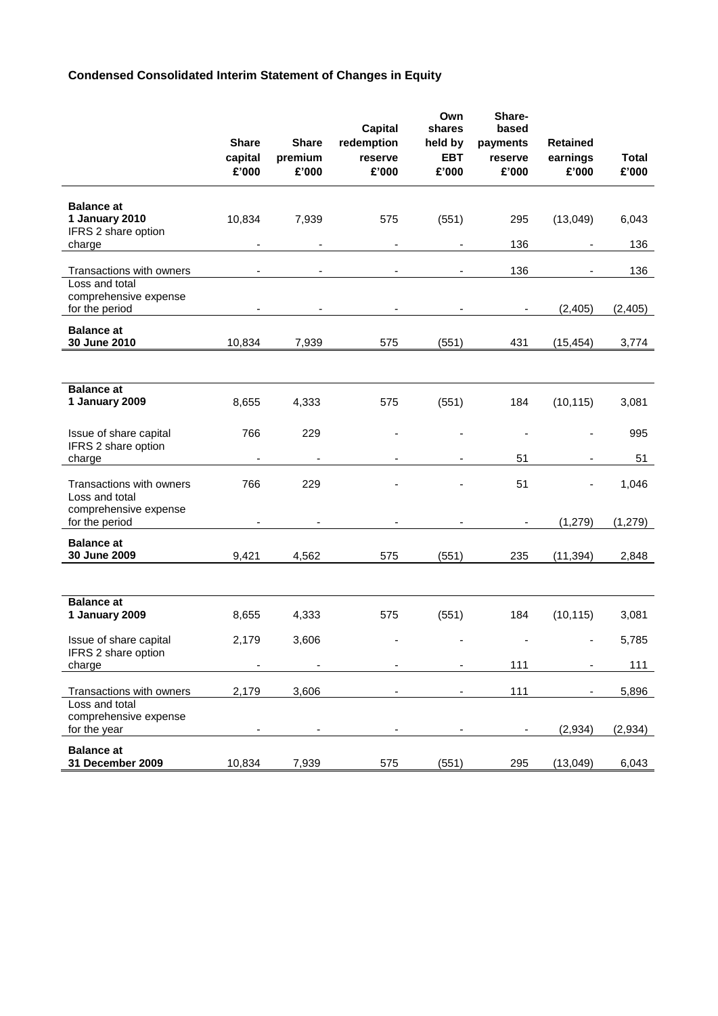# **Condensed Consolidated Interim Statement of Changes in Equity**

|                                                                      | <b>Share</b><br>capital | <b>Share</b><br>premium           | <b>Capital</b><br>redemption<br>reserve | Own<br>shares<br>held by<br><b>EBT</b> | Share-<br>based<br>payments<br>reserve | <b>Retained</b><br>earnings | <b>Total</b> |
|----------------------------------------------------------------------|-------------------------|-----------------------------------|-----------------------------------------|----------------------------------------|----------------------------------------|-----------------------------|--------------|
|                                                                      | £'000                   | £'000                             | £'000                                   | £'000                                  | £'000                                  | £'000                       | £'000        |
| <b>Balance at</b><br>1 January 2010<br>IFRS 2 share option<br>charge | 10,834                  | 7,939<br>$\overline{\phantom{a}}$ | 575<br>$\overline{\phantom{a}}$         | (551)<br>$\qquad \qquad \blacksquare$  | 295<br>136                             | (13,049)                    | 6,043<br>136 |
| Transactions with owners                                             |                         |                                   | $\blacksquare$                          |                                        | 136                                    |                             | 136          |
| Loss and total<br>comprehensive expense<br>for the period            |                         | $\overline{\phantom{a}}$          | $\overline{\phantom{a}}$                | $\overline{\phantom{a}}$               | $\blacksquare$                         | (2, 405)                    | (2, 405)     |
| <b>Balance at</b><br>30 June 2010                                    | 10,834                  | 7,939                             | 575                                     | (551)                                  | 431                                    | (15, 454)                   | 3,774        |
|                                                                      |                         |                                   |                                         |                                        |                                        |                             |              |
| <b>Balance at</b><br>1 January 2009                                  | 8,655                   | 4,333                             | 575                                     | (551)                                  | 184                                    | (10, 115)                   | 3,081        |
| Issue of share capital<br>IFRS 2 share option                        | 766                     | 229                               |                                         |                                        |                                        |                             | 995          |
| charge                                                               |                         |                                   |                                         |                                        | 51                                     |                             | 51           |
| Transactions with owners<br>Loss and total<br>comprehensive expense  | 766                     | 229                               |                                         |                                        | 51                                     |                             | 1,046        |
| for the period                                                       |                         |                                   |                                         |                                        |                                        | (1, 279)                    | (1, 279)     |
| <b>Balance at</b><br>30 June 2009                                    | 9,421                   | 4,562                             | 575                                     | (551)                                  | 235                                    | (11, 394)                   | 2,848        |
|                                                                      |                         |                                   |                                         |                                        |                                        |                             |              |
| <b>Balance at</b><br>1 January 2009                                  | 8,655                   | 4,333                             | 575                                     | (551)                                  | 184                                    | (10, 115)                   | 3,081        |
| Issue of share capital<br>IFRS 2 share option                        | 2,179                   | 3,606                             |                                         |                                        |                                        |                             | 5,785        |
| charge                                                               |                         |                                   |                                         |                                        | 111                                    |                             | 111          |
| Transactions with owners                                             | 2,179                   | 3,606                             |                                         |                                        | 111                                    |                             | 5,896        |
| Loss and total<br>comprehensive expense<br>for the year              |                         |                                   |                                         |                                        |                                        | (2,934)                     | (2,934)      |
| <b>Balance at</b><br>31 December 2009                                | 10,834                  | 7,939                             | 575                                     | (551)                                  | 295                                    | (13,049)                    | 6,043        |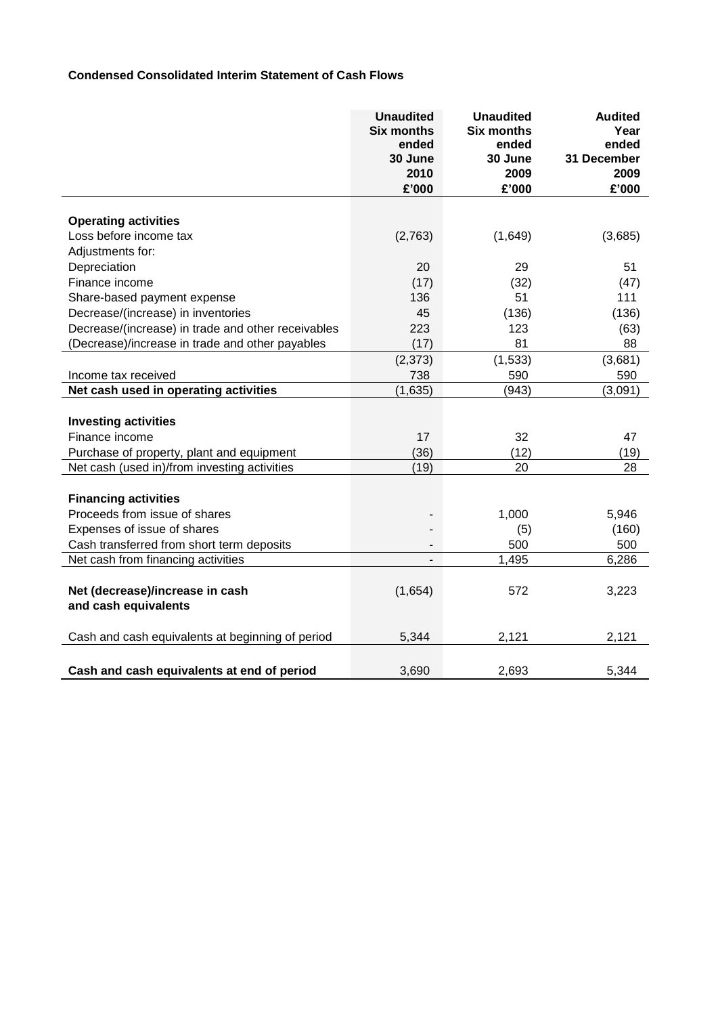## **Condensed Consolidated Interim Statement of Cash Flows**

|                                                    | <b>Unaudited</b><br><b>Six months</b><br>ended<br>30 June<br>2010<br>£'000 | <b>Unaudited</b><br><b>Six months</b><br>ended<br>30 June<br>2009<br>£'000 | <b>Audited</b><br>Year<br>ended<br>31 December<br>2009<br>£'000 |
|----------------------------------------------------|----------------------------------------------------------------------------|----------------------------------------------------------------------------|-----------------------------------------------------------------|
|                                                    |                                                                            |                                                                            |                                                                 |
| <b>Operating activities</b>                        |                                                                            |                                                                            |                                                                 |
| Loss before income tax                             | (2,763)                                                                    | (1,649)                                                                    | (3,685)                                                         |
| Adjustments for:                                   |                                                                            |                                                                            |                                                                 |
| Depreciation                                       | 20                                                                         | 29                                                                         | 51                                                              |
| Finance income                                     | (17)                                                                       | (32)                                                                       | (47)                                                            |
| Share-based payment expense                        | 136                                                                        | 51                                                                         | 111                                                             |
| Decrease/(increase) in inventories                 | 45                                                                         | (136)                                                                      | (136)                                                           |
| Decrease/(increase) in trade and other receivables | 223                                                                        | 123                                                                        | (63)                                                            |
| (Decrease)/increase in trade and other payables    | (17)                                                                       | 81                                                                         | 88                                                              |
|                                                    | (2, 373)                                                                   | (1, 533)                                                                   | (3,681)                                                         |
| Income tax received                                | 738                                                                        | 590                                                                        | 590                                                             |
| Net cash used in operating activities              | (1,635)                                                                    | (943)                                                                      | (3,091)                                                         |
| <b>Investing activities</b>                        |                                                                            |                                                                            |                                                                 |
| Finance income                                     | 17                                                                         | 32                                                                         | 47                                                              |
| Purchase of property, plant and equipment          | (36)                                                                       | (12)                                                                       | (19)                                                            |
| Net cash (used in)/from investing activities       | (19)                                                                       | 20                                                                         | 28                                                              |
|                                                    |                                                                            |                                                                            |                                                                 |
| <b>Financing activities</b>                        |                                                                            |                                                                            |                                                                 |
| Proceeds from issue of shares                      |                                                                            | 1,000                                                                      | 5,946                                                           |
| Expenses of issue of shares                        |                                                                            | (5)                                                                        | (160)                                                           |
| Cash transferred from short term deposits          |                                                                            | 500                                                                        | 500                                                             |
| Net cash from financing activities                 | $\overline{\phantom{a}}$                                                   | 1,495                                                                      | 6,286                                                           |
|                                                    |                                                                            |                                                                            |                                                                 |
| Net (decrease)/increase in cash                    | (1,654)                                                                    | 572                                                                        | 3,223                                                           |
| and cash equivalents                               |                                                                            |                                                                            |                                                                 |
|                                                    |                                                                            |                                                                            |                                                                 |
| Cash and cash equivalents at beginning of period   | 5,344                                                                      | 2,121                                                                      | 2,121                                                           |
|                                                    |                                                                            |                                                                            |                                                                 |
| Cash and cash equivalents at end of period         | 3,690                                                                      | 2,693                                                                      | 5,344                                                           |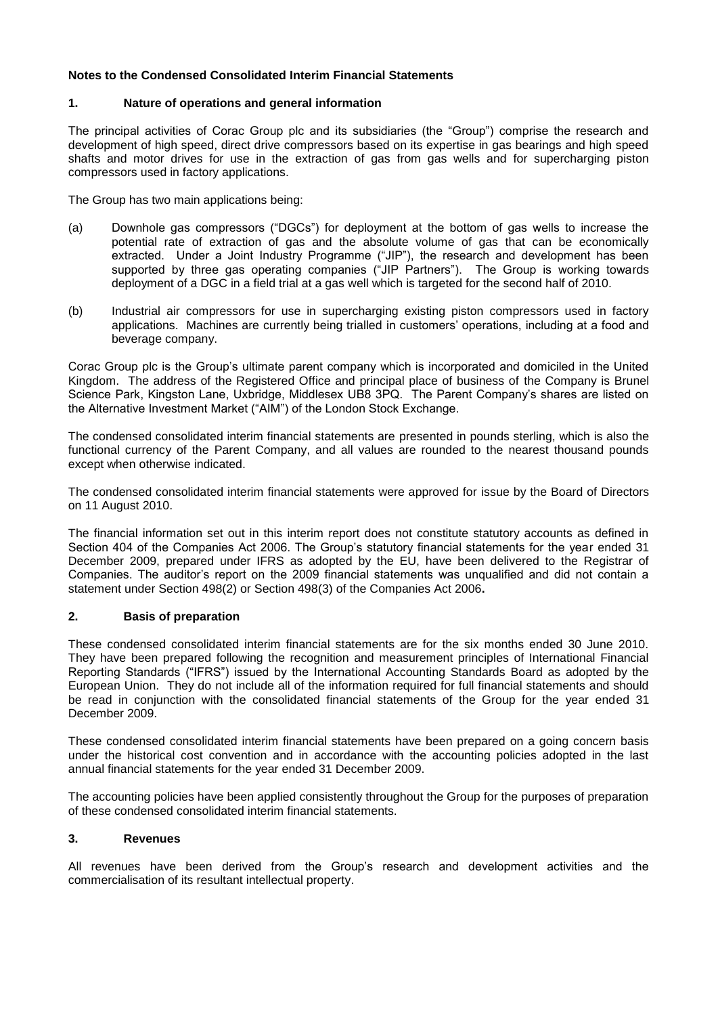### **Notes to the Condensed Consolidated Interim Financial Statements**

### **1. Nature of operations and general information**

The principal activities of Corac Group plc and its subsidiaries (the "Group") comprise the research and development of high speed, direct drive compressors based on its expertise in gas bearings and high speed shafts and motor drives for use in the extraction of gas from gas wells and for supercharging piston compressors used in factory applications.

The Group has two main applications being:

- (a) Downhole gas compressors ("DGCs") for deployment at the bottom of gas wells to increase the potential rate of extraction of gas and the absolute volume of gas that can be economically extracted. Under a Joint Industry Programme ("JIP"), the research and development has been supported by three gas operating companies ("JIP Partners"). The Group is working towards deployment of a DGC in a field trial at a gas well which is targeted for the second half of 2010.
- (b) Industrial air compressors for use in supercharging existing piston compressors used in factory applications. Machines are currently being trialled in customers" operations, including at a food and beverage company.

Corac Group plc is the Group"s ultimate parent company which is incorporated and domiciled in the United Kingdom. The address of the Registered Office and principal place of business of the Company is Brunel Science Park, Kingston Lane, Uxbridge, Middlesex UB8 3PQ. The Parent Company"s shares are listed on the Alternative Investment Market ("AIM") of the London Stock Exchange.

The condensed consolidated interim financial statements are presented in pounds sterling, which is also the functional currency of the Parent Company, and all values are rounded to the nearest thousand pounds except when otherwise indicated.

The condensed consolidated interim financial statements were approved for issue by the Board of Directors on 11 August 2010.

The financial information set out in this interim report does not constitute statutory accounts as defined in Section 404 of the Companies Act 2006. The Group's statutory financial statements for the year ended 31 December 2009, prepared under IFRS as adopted by the EU, have been delivered to the Registrar of Companies. The auditor"s report on the 2009 financial statements was unqualified and did not contain a statement under Section 498(2) or Section 498(3) of the Companies Act 2006**.**

### **2. Basis of preparation**

These condensed consolidated interim financial statements are for the six months ended 30 June 2010. They have been prepared following the recognition and measurement principles of International Financial Reporting Standards ("IFRS") issued by the International Accounting Standards Board as adopted by the European Union. They do not include all of the information required for full financial statements and should be read in conjunction with the consolidated financial statements of the Group for the year ended 31 December 2009.

These condensed consolidated interim financial statements have been prepared on a going concern basis under the historical cost convention and in accordance with the accounting policies adopted in the last annual financial statements for the year ended 31 December 2009.

The accounting policies have been applied consistently throughout the Group for the purposes of preparation of these condensed consolidated interim financial statements.

#### **3. Revenues**

All revenues have been derived from the Group"s research and development activities and the commercialisation of its resultant intellectual property.